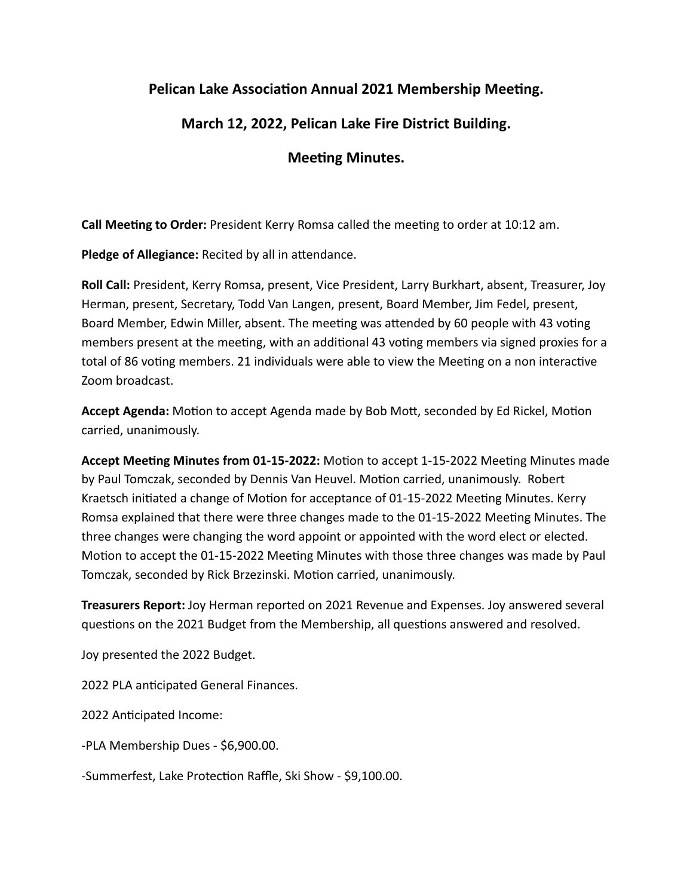## **Pelican Lake Association Annual 2021 Membership Meeting.**

## **March 12, 2022, Pelican Lake Fire District Building.**

## **Meeting Minutes.**

**Call Meeting to Order:** President Kerry Romsa called the meeting to order at 10:12 am.

**Pledge of Allegiance:** Recited by all in attendance.

**Roll Call:** President, Kerry Romsa, present, Vice President, Larry Burkhart, absent, Treasurer, Joy Herman, present, Secretary, Todd Van Langen, present, Board Member, Jim Fedel, present, Board Member, Edwin Miller, absent. The meeting was attended by 60 people with 43 voting members present at the meeting, with an additional 43 voting members via signed proxies for a total of 86 voting members. 21 individuals were able to view the Meeting on a non interactive Zoom broadcast.

**Accept Agenda:** Motion to accept Agenda made by Bob Mott, seconded by Ed Rickel, Motion carried, unanimously.

**Accept Meeting Minutes from 01-15-2022:** Motion to accept 1-15-2022 Meeting Minutes made by Paul Tomczak, seconded by Dennis Van Heuvel. Motion carried, unanimously. Robert Kraetsch initiated a change of Motion for acceptance of 01-15-2022 Meeting Minutes. Kerry Romsa explained that there were three changes made to the 01-15-2022 Meeting Minutes. The three changes were changing the word appoint or appointed with the word elect or elected. Motion to accept the 01-15-2022 Meeting Minutes with those three changes was made by Paul Tomczak, seconded by Rick Brzezinski. Motion carried, unanimously.

**Treasurers Report:** Joy Herman reported on 2021 Revenue and Expenses. Joy answered several questions on the 2021 Budget from the Membership, all questions answered and resolved.

Joy presented the 2022 Budget.

2022 PLA anticipated General Finances.

2022 Anticipated Income:

-PLA Membership Dues - \$6,900.00.

-Summerfest, Lake Protection Raffle, Ski Show - \$9,100.00.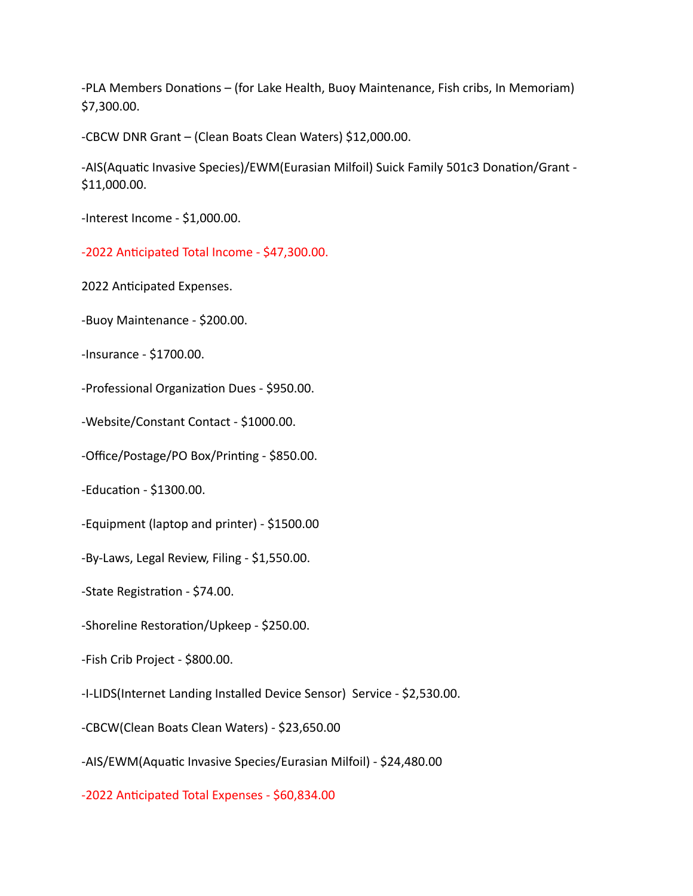-PLA Members Donations – (for Lake Health, Buoy Maintenance, Fish cribs, In Memoriam) \$7,300.00.

-CBCW DNR Grant – (Clean Boats Clean Waters) \$12,000.00.

-AIS(Aquatic Invasive Species)/EWM(Eurasian Milfoil) Suick Family 501c3 Donation/Grant - \$11,000.00.

-Interest Income - \$1,000.00.

-2022 Anticipated Total Income - \$47,300.00.

2022 Anticipated Expenses.

-Buoy Maintenance - \$200.00.

-Insurance - \$1700.00.

-Professional Organization Dues - \$950.00.

-Website/Constant Contact - \$1000.00.

-Office/Postage/PO Box/Printing - \$850.00.

-Education - \$1300.00.

-Equipment (laptop and printer) - \$1500.00

-By-Laws, Legal Review, Filing - \$1,550.00.

-State Registration - \$74.00.

-Shoreline Restoration/Upkeep - \$250.00.

-Fish Crib Project - \$800.00.

-I-LIDS(Internet Landing Installed Device Sensor) Service - \$2,530.00.

-CBCW(Clean Boats Clean Waters) - \$23,650.00

-AIS/EWM(Aquatic Invasive Species/Eurasian Milfoil) - \$24,480.00

-2022 Anticipated Total Expenses - \$60,834.00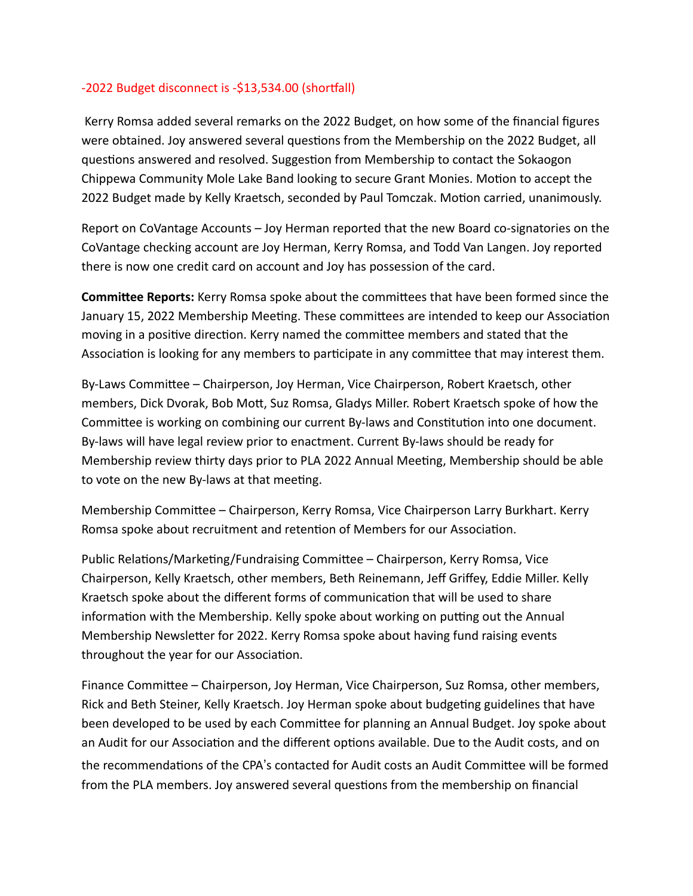## -2022 Budget disconnect is -\$13,534.00 (shortfall)

 Kerry Romsa added several remarks on the 2022 Budget, on how some of the financial figures were obtained. Joy answered several questions from the Membership on the 2022 Budget, all questions answered and resolved. Suggestion from Membership to contact the Sokaogon Chippewa Community Mole Lake Band looking to secure Grant Monies. Motion to accept the 2022 Budget made by Kelly Kraetsch, seconded by Paul Tomczak. Motion carried, unanimously.

Report on CoVantage Accounts – Joy Herman reported that the new Board co-signatories on the CoVantage checking account are Joy Herman, Kerry Romsa, and Todd Van Langen. Joy reported there is now one credit card on account and Joy has possession of the card.

**Committee Reports:** Kerry Romsa spoke about the committees that have been formed since the January 15, 2022 Membership Meeting. These committees are intended to keep our Association moving in a positive direction. Kerry named the committee members and stated that the Association is looking for any members to participate in any committee that may interest them.

By-Laws Committee – Chairperson, Joy Herman, Vice Chairperson, Robert Kraetsch, other members, Dick Dvorak, Bob Mott, Suz Romsa, Gladys Miller. Robert Kraetsch spoke of how the Committee is working on combining our current By-laws and Constitution into one document. By-laws will have legal review prior to enactment. Current By-laws should be ready for Membership review thirty days prior to PLA 2022 Annual Meeting, Membership should be able to vote on the new By-laws at that meeting.

Membership Committee – Chairperson, Kerry Romsa, Vice Chairperson Larry Burkhart. Kerry Romsa spoke about recruitment and retention of Members for our Association.

Public Relations/Marketing/Fundraising Committee – Chairperson, Kerry Romsa, Vice Chairperson, Kelly Kraetsch, other members, Beth Reinemann, Jeff Griffey, Eddie Miller. Kelly Kraetsch spoke about the different forms of communication that will be used to share information with the Membership. Kelly spoke about working on putting out the Annual Membership Newsletter for 2022. Kerry Romsa spoke about having fund raising events throughout the year for our Association.

Finance Committee – Chairperson, Joy Herman, Vice Chairperson, Suz Romsa, other members, Rick and Beth Steiner, Kelly Kraetsch. Joy Herman spoke about budgeting guidelines that have been developed to be used by each Committee for planning an Annual Budget. Joy spoke about an Audit for our Association and the different options available. Due to the Audit costs, and on the recommendations of the CPA's contacted for Audit costs an Audit Committee will be formed from the PLA members. Joy answered several questions from the membership on financial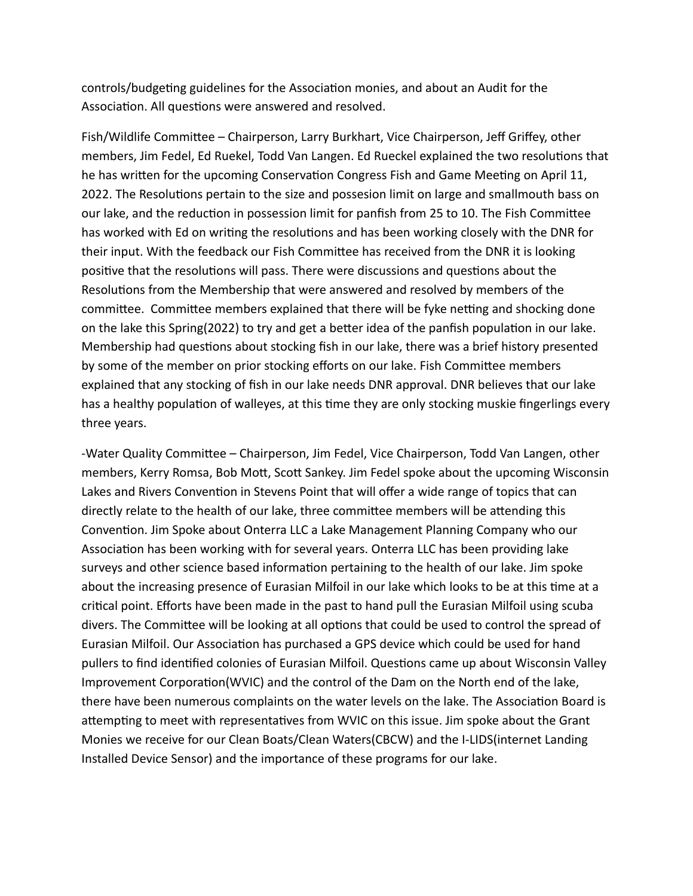controls/budgeting guidelines for the Association monies, and about an Audit for the Association. All questions were answered and resolved.

Fish/Wildlife Committee – Chairperson, Larry Burkhart, Vice Chairperson, Jeff Griffey, other members, Jim Fedel, Ed Ruekel, Todd Van Langen. Ed Rueckel explained the two resolutions that he has written for the upcoming Conservation Congress Fish and Game Meeting on April 11, 2022. The Resolutions pertain to the size and possesion limit on large and smallmouth bass on our lake, and the reduction in possession limit for panfish from 25 to 10. The Fish Committee has worked with Ed on writing the resolutions and has been working closely with the DNR for their input. With the feedback our Fish Committee has received from the DNR it is looking positive that the resolutions will pass. There were discussions and questions about the Resolutions from the Membership that were answered and resolved by members of the committee. Committee members explained that there will be fyke netting and shocking done on the lake this Spring(2022) to try and get a better idea of the panfish population in our lake. Membership had questions about stocking fish in our lake, there was a brief history presented by some of the member on prior stocking efforts on our lake. Fish Committee members explained that any stocking of fish in our lake needs DNR approval. DNR believes that our lake has a healthy population of walleyes, at this time they are only stocking muskie fingerlings every three years.

-Water Quality Committee – Chairperson, Jim Fedel, Vice Chairperson, Todd Van Langen, other members, Kerry Romsa, Bob Mott, Scott Sankey. Jim Fedel spoke about the upcoming Wisconsin Lakes and Rivers Convention in Stevens Point that will offer a wide range of topics that can directly relate to the health of our lake, three committee members will be attending this Convention. Jim Spoke about Onterra LLC a Lake Management Planning Company who our Association has been working with for several years. Onterra LLC has been providing lake surveys and other science based information pertaining to the health of our lake. Jim spoke about the increasing presence of Eurasian Milfoil in our lake which looks to be at this time at a critical point. Efforts have been made in the past to hand pull the Eurasian Milfoil using scuba divers. The Committee will be looking at all options that could be used to control the spread of Eurasian Milfoil. Our Association has purchased a GPS device which could be used for hand pullers to find identified colonies of Eurasian Milfoil. Questions came up about Wisconsin Valley Improvement Corporation(WVIC) and the control of the Dam on the North end of the lake, there have been numerous complaints on the water levels on the lake. The Association Board is attempting to meet with representatives from WVIC on this issue. Jim spoke about the Grant Monies we receive for our Clean Boats/Clean Waters(CBCW) and the I-LIDS(internet Landing Installed Device Sensor) and the importance of these programs for our lake.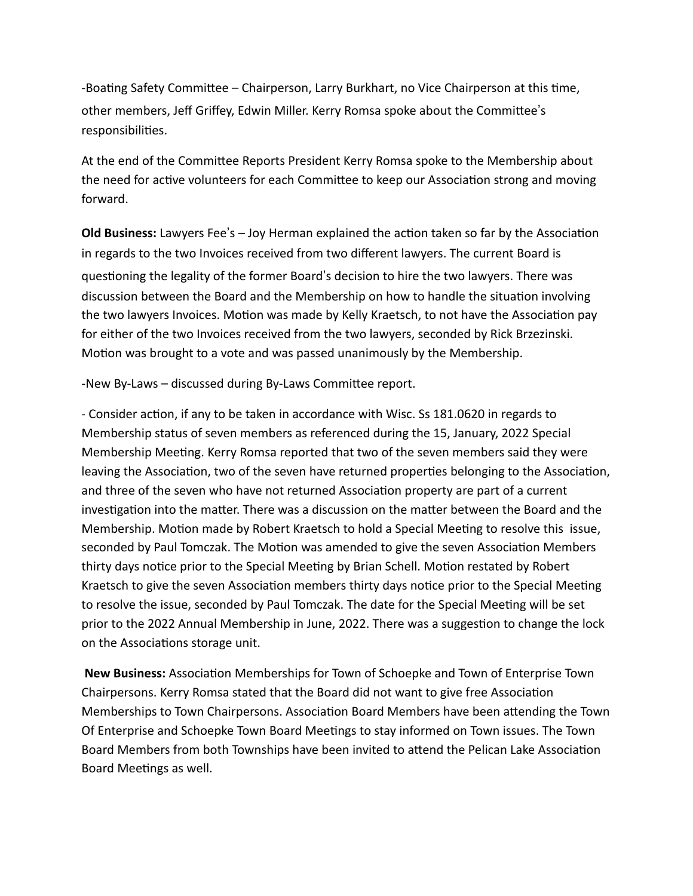-Boating Safety Committee – Chairperson, Larry Burkhart, no Vice Chairperson at this time, other members, Jeff Griffey, Edwin Miller. Kerry Romsa spoke about the Committee's responsibilities.

At the end of the Committee Reports President Kerry Romsa spoke to the Membership about the need for active volunteers for each Committee to keep our Association strong and moving forward.

**Old Business:** Lawyers Fee's - Joy Herman explained the action taken so far by the Association in regards to the two Invoices received from two different lawyers. The current Board is questioning the legality of the former Board's decision to hire the two lawyers. There was discussion between the Board and the Membership on how to handle the situation involving the two lawyers Invoices. Motion was made by Kelly Kraetsch, to not have the Association pay for either of the two Invoices received from the two lawyers, seconded by Rick Brzezinski. Motion was brought to a vote and was passed unanimously by the Membership.

-New By-Laws – discussed during By-Laws Committee report.

- Consider action, if any to be taken in accordance with Wisc. Ss 181.0620 in regards to Membership status of seven members as referenced during the 15, January, 2022 Special Membership Meeting. Kerry Romsa reported that two of the seven members said they were leaving the Association, two of the seven have returned properties belonging to the Association, and three of the seven who have not returned Association property are part of a current investigation into the matter. There was a discussion on the matter between the Board and the Membership. Motion made by Robert Kraetsch to hold a Special Meeting to resolve this issue, seconded by Paul Tomczak. The Motion was amended to give the seven Association Members thirty days notice prior to the Special Meeting by Brian Schell. Motion restated by Robert Kraetsch to give the seven Association members thirty days notice prior to the Special Meeting to resolve the issue, seconded by Paul Tomczak. The date for the Special Meeting will be set prior to the 2022 Annual Membership in June, 2022. There was a suggestion to change the lock on the Associations storage unit.

 **New Business:** Association Memberships for Town of Schoepke and Town of Enterprise Town Chairpersons. Kerry Romsa stated that the Board did not want to give free Association Memberships to Town Chairpersons. Association Board Members have been attending the Town Of Enterprise and Schoepke Town Board Meetings to stay informed on Town issues. The Town Board Members from both Townships have been invited to attend the Pelican Lake Association Board Meetings as well.